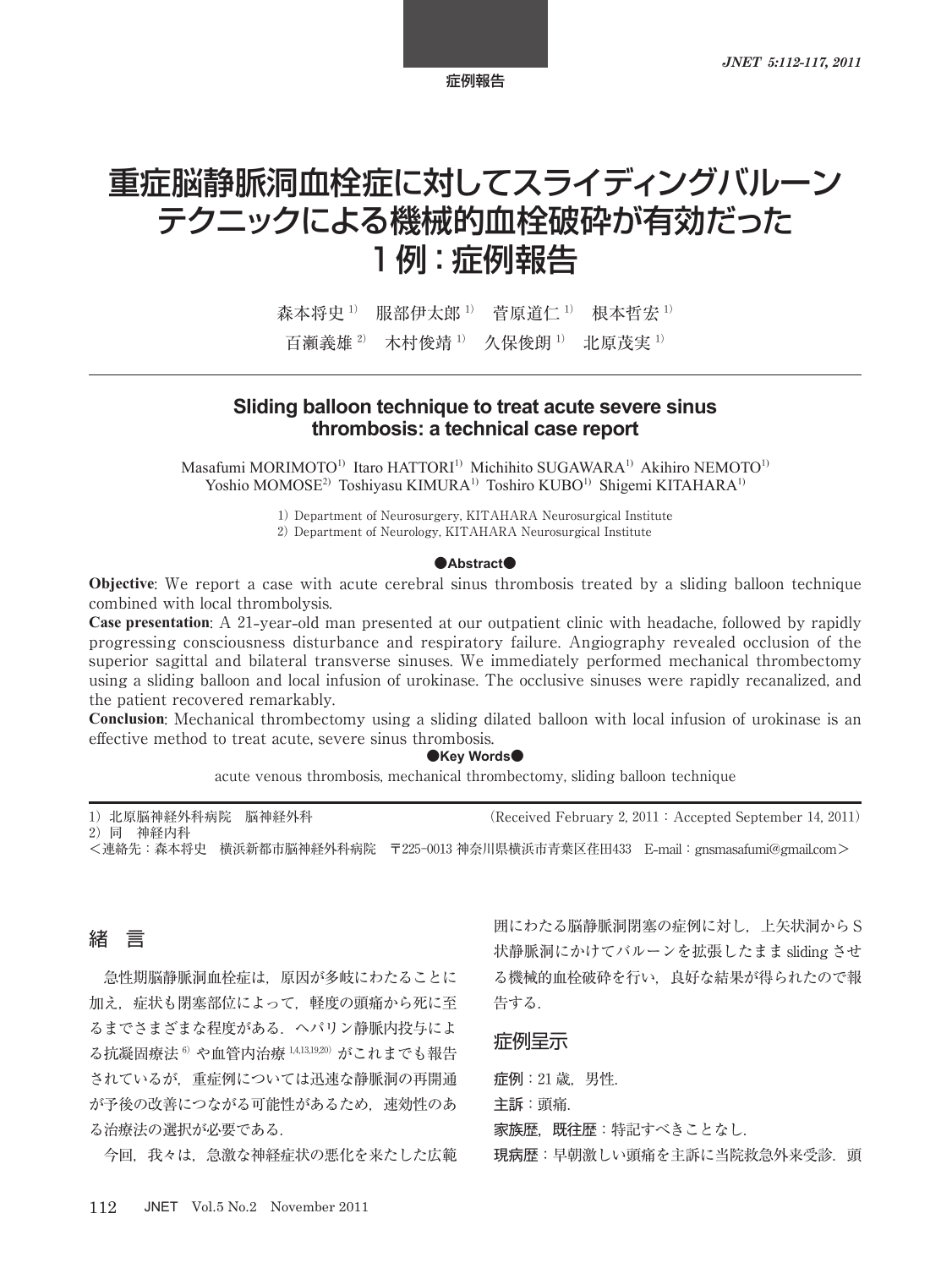症例報告

# 重症脳静脈洞血栓症に対してスライディングバルーン テクニックによる機械的血栓破砕が有効だった 1 例:症例報告

森本将史<sup>1)</sup> 服部伊太郎<sup>1)</sup> 菅原道仁<sup>1)</sup> 根本哲宏<sup>1)</sup> 百瀬義雄<sup>2)</sup> 木村俊靖<sup>1)</sup> 久保俊朗<sup>1)</sup> 北原茂実<sup>1)</sup>

# **Sliding balloon technique to treat acute severe sinus thrombosis: a technical case report**

Masafumi MORIMOTO<sup>1)</sup> Itaro HATTORI<sup>1)</sup> Michihito SUGAWARA<sup>1)</sup> Akihiro NEMOTO<sup>1)</sup> Yoshio MOMOSE<sup>2)</sup> Toshiyasu KIMURA<sup>1)</sup> Toshiro KUBO<sup>1)</sup> Shigemi KITAHARA<sup>1)</sup>

1) Department of Neurosurgery, KITAHARA Neurosurgical Institute

2) Department of Neurology, KITAHARA Neurosurgical Institute

#### **●Abstract●**

**Objective**: We report a case with acute cerebral sinus thrombosis treated by a sliding balloon technique combined with local thrombolysis.

**Case presentation**: A 21**-**year**-**old man presented at our outpatient clinic with headache, followed by rapidly progressing consciousness disturbance and respiratory failure. Angiography revealed occlusion of the superior sagittal and bilateral transverse sinuses. We immediately performed mechanical thrombectomy using a sliding balloon and local infusion of urokinase. The occlusive sinuses were rapidly recanalized, and the patient recovered remarkably.

**Conclusion**: Mechanical thrombectomy using a sliding dilated balloon with local infusion of urokinase is an effective method to treat acute, severe sinus thrombosis.

## **●Key Words●**

acute venous thrombosis, mechanical thrombectomy, sliding balloon technique

1) 北原脳神経外科病院 脳神経外科 (Received February 2, 2011: Accepted September 14, 2011) 2)同 神経内科

<連絡先:森本将史 横浜新都市脳神経外科病院 〒225-0013 神奈川県横浜市青葉区荏田433 E**-**mail:gnsmasafumi@gmail.com>

# 緒 言

急性期脳静脈洞血栓症は,原因が多岐にわたることに 加え,症状も閉塞部位によって,軽度の頭痛から死に至 るまでさまざまな程度がある.ヘパリン静脈内投与によ る抗凝固療法<sup>6)</sup>や血管内治療<sup>1,4,13,19,20)</sup>がこれまでも報告 されているが,重症例については迅速な静脈洞の再開通 が予後の改善につながる可能性があるため,速効性のあ る治療法の選択が必要である.

今回,我々は,急激な神経症状の悪化を来たした広範

囲にわたる脳静脈洞閉塞の症例に対し,上矢状洞から S 状静脈洞にかけてバルーンを拡張したまま sliding させ る機械的血栓破砕を行い,良好な結果が得られたので報 告する.

## 症例呈示

症例:21 歳,男性. 主訴:頭痛. 家族歴, 既往歴:特記すべきことなし. 現病歴:早朝激しい頭痛を主訴に当院救急外来受診. 頭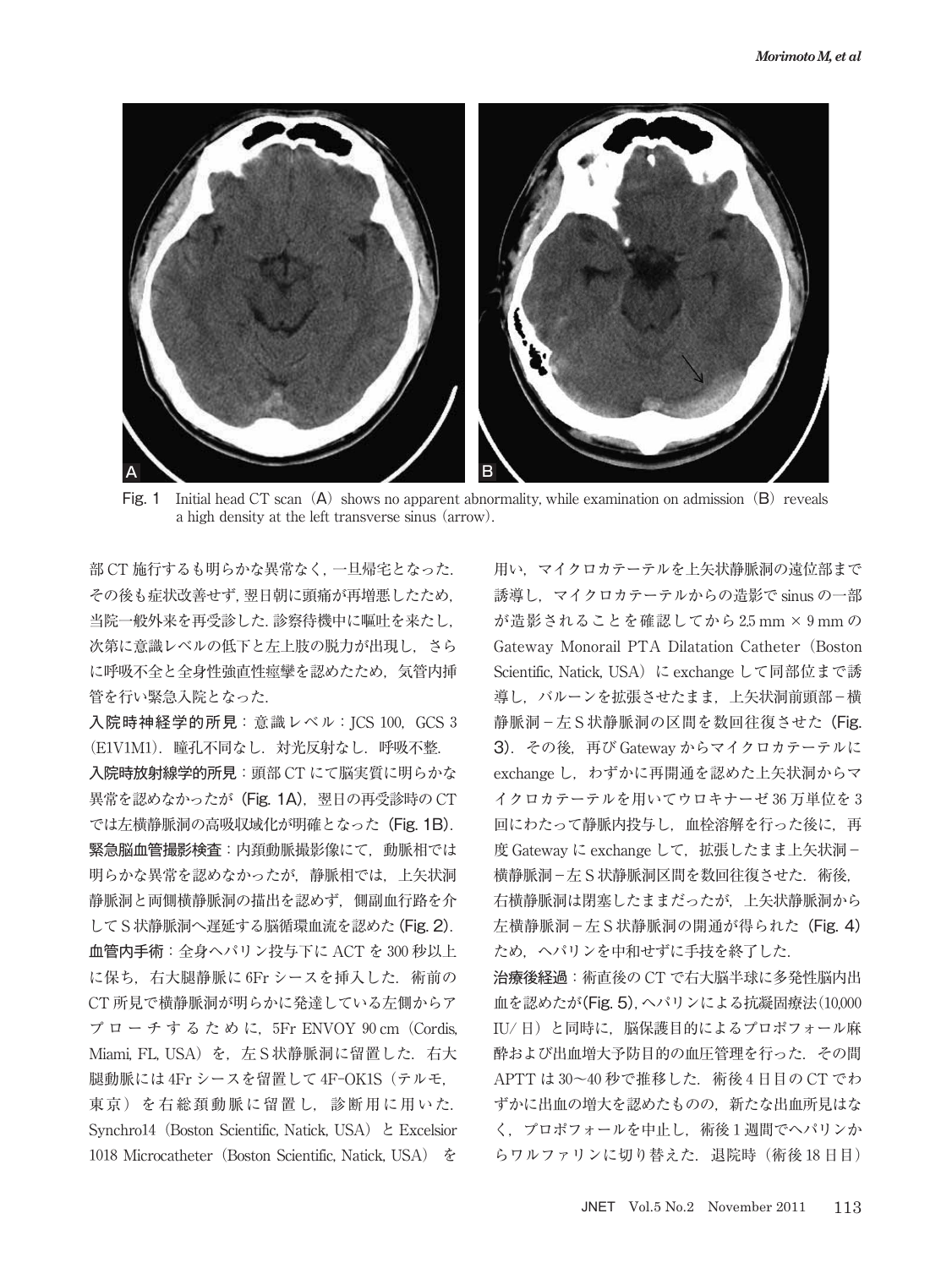

Fig. 1 Initial head CT scan  $(A)$  shows no apparent abnormality, while examination on admission  $(B)$  reveals a high density at the left transverse sinus (arrow).

部 CT 施行するも明らかな異常なく,一旦帰宅となった. その後も症状改善せず,翌日朝に頭痛が再増悪したため, 当院一般外来を再受診した.診察待機中に嘔吐を来たし, 次第に意識レベルの低下と左上肢の脱力が出現し,さら に呼吸不全と全身性強直性痙攣を認めたため,気管内挿 管を行い緊急入院となった.

入院時神経学的所見: 意識レベル: ICS 100, GCS 3 (E1V1M1).瞳孔不同なし.対光反射なし.呼吸不整. 入院時放射線学的所見:頭部 CT にて脳実質に明らかな 異常を認めなかったが (Fig. 1A), 翌日の再受診時の CT では左横静脈洞の高吸収域化が明確となった(Fig. 1B). 緊急脳血管撮影検査:内頚動脈撮影像にて,動脈相では 明らかな異常を認めなかったが,静脈相では,上矢状洞 静脈洞と両側横静脈洞の描出を認めず,側副血行路を介 して S 状静脈洞へ遅延する脳循環血流を認めた(Fig. 2). 血管内手術:全身ヘパリン投与下に ACT を 300 秒以上 に保ち、右大腿静脈に 6Fr シースを挿入した. 術前の CT 所見で横静脈洞が明らかに発達している左側からア プローチするために, 5Fr ENVOY 90 cm (Cordis, Miami, FL, USA) を, 左 S 状静脈洞に留置した. 右大 腿動脈には 4Fr シースを留置して 4F-OK1S(テルモ, 東京)を右総頚動脈に留置し、診断用に用いた. Synchro14(Boston Scientific, Natick, USA)と Excelsior 1018 Microcatheter (Boston Scientific, Natick, USA) を

用い,マイクロカテーテルを上矢状静脈洞の遠位部まで 誘導し,マイクロカテーテルからの造影で sinus の一部 が造影されることを確認してから 2.5 mm × 9 mm の Gateway Monorail PTA Dilatation Catheter (Boston Scientific, Natick, USA) に exchange して同部位まで誘 導し、バルーンを拡張させたまま、上矢状洞前頭部-横 静脈洞-左S状静脈洞の区間を数回往復させた(Fig. 3).その後,再び Gateway からマイクロカテーテルに exchange し、わずかに再開通を認めた上矢状洞からマ イクロカテーテルを用いてウロキナーゼ 36 万単位を 3 回にわたって静脈内投与し、血栓溶解を行った後に、再 度 Gateway に exchange して、拡張したまま上矢状洞-横静脈洞-左 S 状静脈洞区間を数回往復させた.術後, 右横静脈洞は閉塞したままだったが,上矢状静脈洞から 左横静脈洞-左 S 状静脈洞の開通が得られた (Fig. 4) ため,ヘパリンを中和せずに手技を終了した.

治療後経過:術直後の CT で右大脳半球に多発性脳内出 血を認めたが(Fig. 5),ヘパリンによる抗凝固療法(10,000 IU/日)と同時に、脳保護目的によるプロポフォール麻 酔および出血増大予防目的の血圧管理を行った.その間 APTT は 30~40 秒で推移した. 術後4日目の CT でわ ずかに出血の増大を認めたものの,新たな出血所見はな く、プロポフォールを中止し、術後1週間でヘパリンか らワルファリンに切り替えた. 退院時(術後18日目)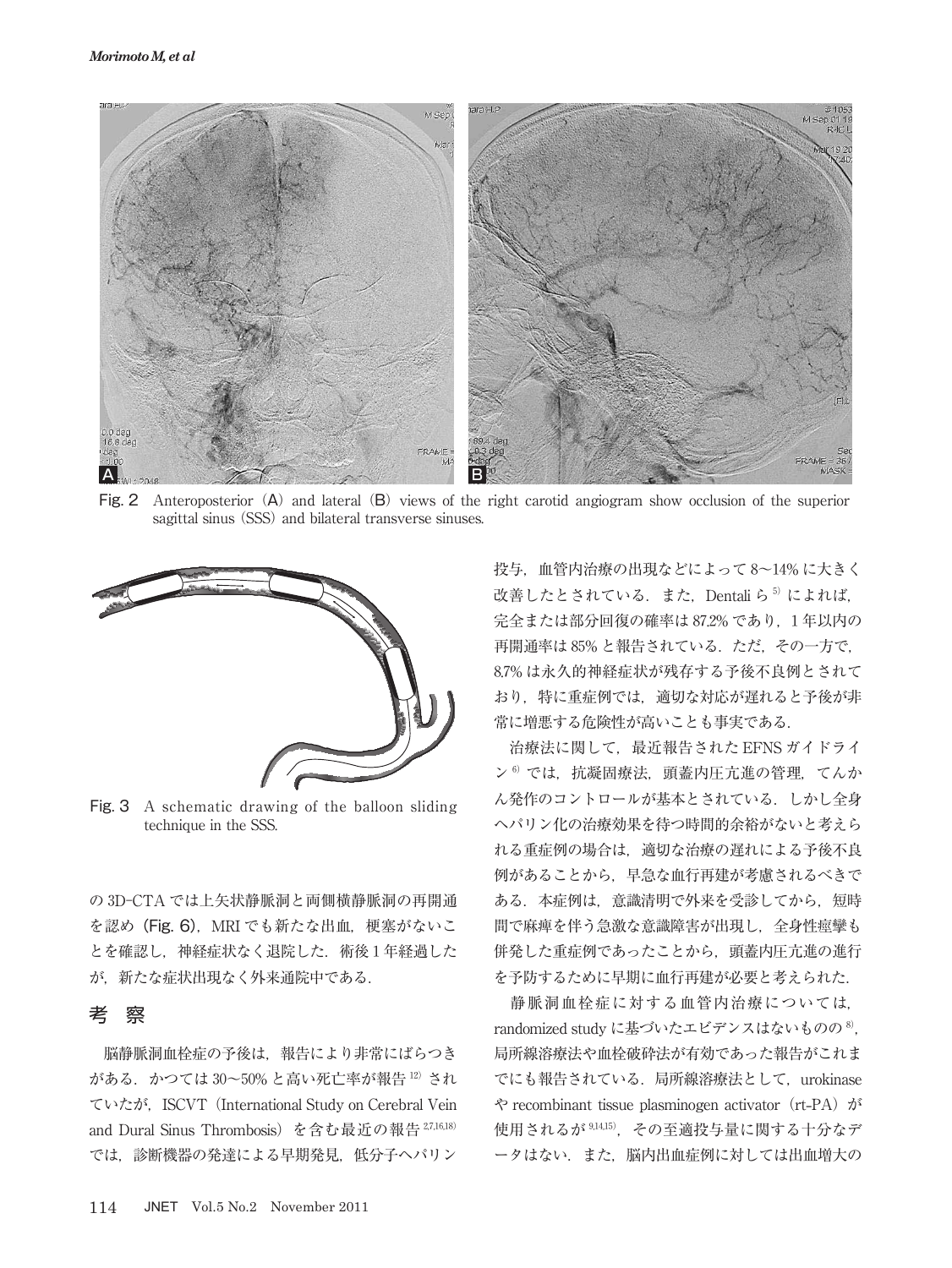

Fig. 2 Anteroposterior (A) and lateral (B) views of the right carotid angiogram show occlusion of the superior sagittal sinus (SSS) and bilateral transverse sinuses.



Fig. 3 A schematic drawing of the balloon sliding technique in the SSS.

の 3D-CTA では上矢状静脈洞と両側横静脈洞の再開通 を認め (Fig. 6), MRI でも新たな出血, 梗塞がないこ とを確認し、神経症状なく退院した. 術後1年経過した が,新たな症状出現なく外来通院中である.

# 考 察

脳静脈洞血栓症の予後は,報告により非常にばらつき  $\check{\mathcal{N}}$ ある. かつては 30~50% と高い死亡率が報告 $^{12}$  され ていたが,ISCVT(International Study on Cerebral Vein and Dural Sinus Thrombosis) を含む最近の報告 27,16,18) では,診断機器の発達による早期発見,低分子ヘパリン

投与,血管内治療の出現などによって 8~14% に大きく 改善したとされている. また、Dentali ら<sup>5</sup> によれば, 完全または部分回復の確率は 87.2% であり、1年以内の 再開通率は 85% と報告されている。ただ、その一方で. 8.7% は永久的神経症状が残存する予後不良例とされて おり,特に重症例では,適切な対応が遅れると予後が非 常に増悪する危険性が高いことも事実である.

治療法に関して、最近報告された EFNS ガイドライ  $\nu$ <sup>6)</sup>では、抗凝固療法,頭蓋内圧亢進の管理,てんか ん発作のコントロールが基本とされている.しかし全身 ヘパリン化の治療効果を待つ時間的余裕がないと考えら れる重症例の場合は,適切な治療の遅れによる予後不良 例があることから,早急な血行再建が考慮されるべきで ある.本症例は,意識清明で外来を受診してから,短時 間で麻痺を伴う急激な意識障害が出現し,全身性痙攣も 併発した重症例であったことから,頭蓋内圧亢進の進行 を予防するために早期に血行再建が必要と考えられた.

静脈洞血栓症に対する血管内治療については, randomized study に基づいたエビデンスはないものの<sup>8)</sup>, 局所線溶療法や血栓破砕法が有効であった報告がこれま でにも報告されている.局所線溶療法として,urokinase や recombinant tissue plasminogen activator(rt**-**PA)が 使用されるが <sup>9</sup>,14,<sup>15</sup>),その至適投与量に関する十分なデ ータはない. また、脳内出血症例に対しては出血増大の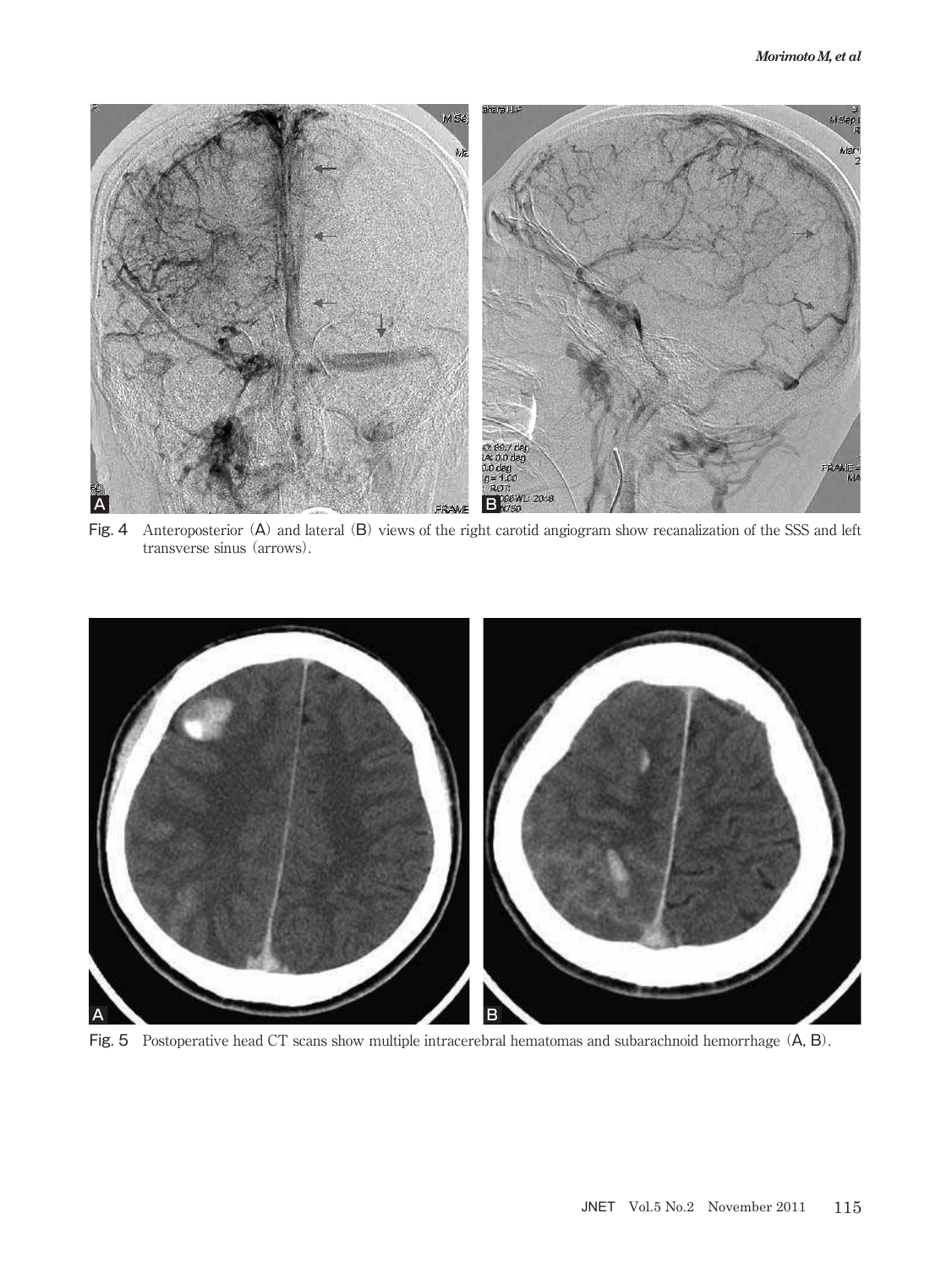

Fig. 4 Anteroposterior (A) and lateral (B) views of the right carotid angiogram show recanalization of the SSS and left transverse sinus (arrows).



Fig. 5 Postoperative head CT scans show multiple intracerebral hematomas and subarachnoid hemorrhage (A, B).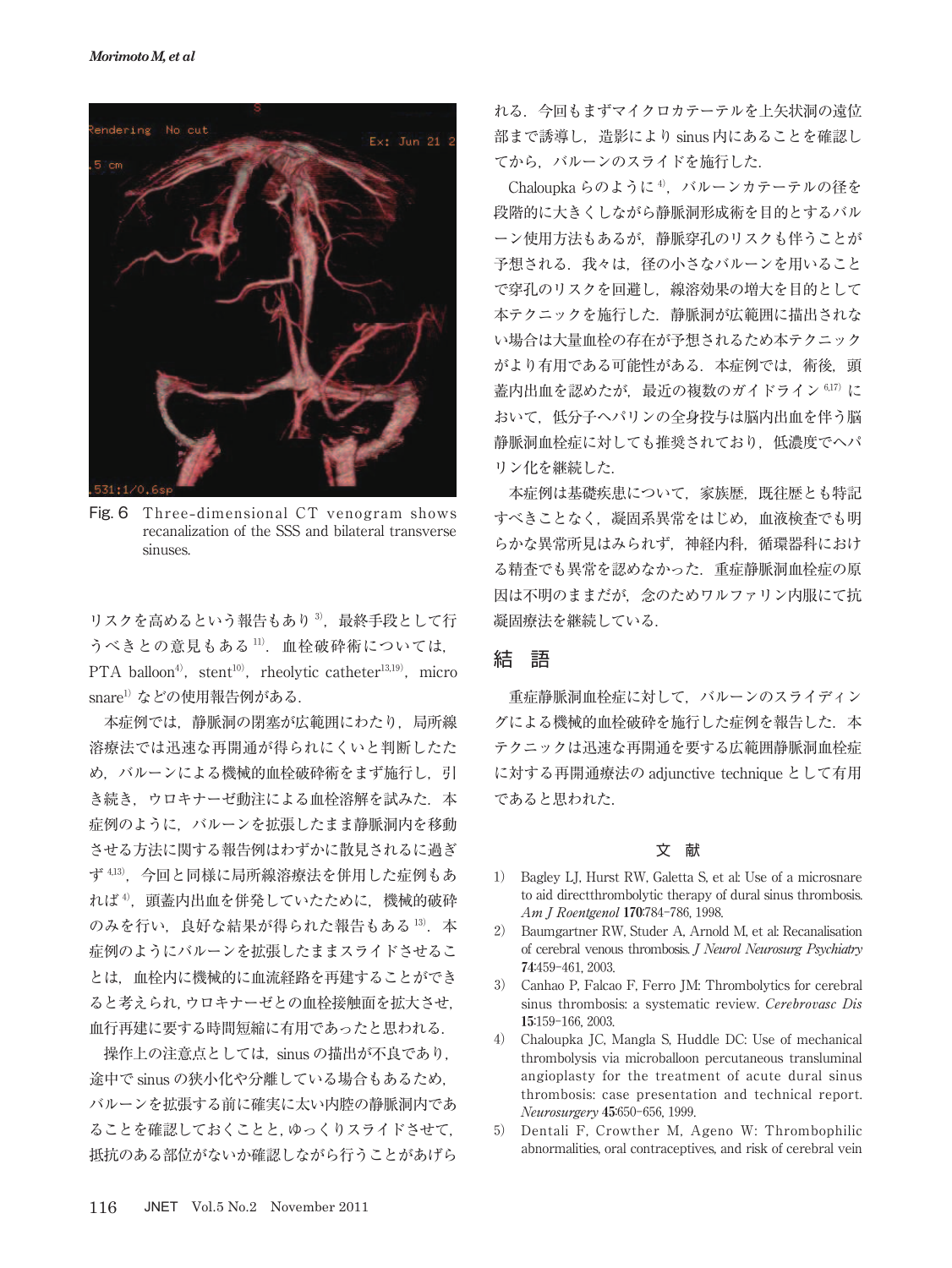

Fig. 6 Three**-**dimensional CT venogram shows recanalization of the SSS and bilateral transverse sinuses.

リスクを高めるという報告もあり<sup>3</sup>, 最終手段として行 うべきとの意見もある <sup>11</sup>).血栓破砕術については, PTA balloon<sup>4)</sup>, stent<sup>10)</sup>, rheolytic catheter<sup>13,19)</sup>, micro snare<sup>1)</sup>などの使用報告例がある.

本症例では,静脈洞の閉塞が広範囲にわたり,局所線 溶療法では迅速な再開通が得られにくいと判断したた め、バルーンによる機械的血栓破砕術をまず施行し、引 き続き、ウロキナーゼ動注による血栓溶解を試みた. 本 症例のように,バルーンを拡張したまま静脈洞内を移動 させる方法に関する報告例はわずかに散見されるに過ぎ ず <sup>4</sup>,<sup>13</sup>),今回と同様に局所線溶療法を併用した症例もあ れば4), 頭蓋内出血を併発していたために、機械的破砕 のみを行い、良好な結果が得られた報告もある 13). 本 症例のようにバルーンを拡張したままスライドさせるこ とは,血栓内に機械的に血流経路を再建することができ ると考えられ,ウロキナーゼとの血栓接触面を拡大させ, 血行再建に要する時間短縮に有用であったと思われる.

操作上の注意点としては、sinus の描出が不良であり, 途中で sinus の狭小化や分離している場合もあるため, バルーンを拡張する前に確実に太い内腔の静脈洞内であ ることを確認しておくことと,ゆっくりスライドさせて, 抵抗のある部位がないか確認しながら行うことがあげら れる.今回もまずマイクロカテーテルを上矢状洞の遠位 部まで誘導し,造影により sinus 内にあることを確認し てから、バルーンのスライドを施行した.

Chaloupka らのように<sup>4)</sup>, バルーンカテーテルの径を 段階的に大きくしながら静脈洞形成術を目的とするバル ーン使用方法もあるが,静脈穿孔のリスクも伴うことが 予想される. 我々は、径の小さなバルーンを用いること で穿孔のリスクを回避し,線溶効果の増大を目的として 本テクニックを施行した.静脈洞が広範囲に描出されな い場合は大量血栓の存在が予想されるため本テクニック がより有用である可能性がある.本症例では,術後,頭 蓋内出血を認めたが、最近の複数のガイドライン 6,17)に おいて,低分子ヘパリンの全身投与は脳内出血を伴う脳 静脈洞血栓症に対しても推奨されており,低濃度でヘパ リン化を継続した.

本症例は基礎疾患について、家族歴, 既往歴とも特記 すべきことなく,凝固系異常をはじめ,血液検査でも明 らかな異常所見はみられず、神経内科, 循環器科におけ る精査でも異常を認めなかった.重症静脈洞血栓症の原 因は不明のままだが,念のためワルファリン内服にて抗 凝固療法を継続している.

# 結 語

重症静脈洞血栓症に対して,バルーンのスライディン グによる機械的血栓破砕を施行した症例を報告した. 本 テクニックは迅速な再開通を要する広範囲静脈洞血栓症 に対する再開通療法の adjunctive technique として有用 であると思われた.

## 文 献

- 1) Bagley LJ, Hurst RW, Galetta S, et al: Use of a microsnare to aid directthrombolytic therapy of dural sinus thrombosis. Am J Roentgenol 170:784-786, 1998.
- 2) Baumgartner RW, Studer A, Arnold M, et al: Recanalisation of cerebral venous thrombosis. J Neurol Neurosurg Psychiatry 74:459-461, 2003.
- 3) Canhao P, Falcao F, Ferro JM: Thrombolytics for cerebral sinus thrombosis: a systematic review. Cerebrovasc Dis 15:159-166, 2003.
- 4) Chaloupka JC, Mangla S, Huddle DC: Use of mechanical thrombolysis via microballoon percutaneous transluminal angioplasty for the treatment of acute dural sinus thrombosis: case presentation and technical report. Neurosurgery 45:650-656, 1999.
- 5) Dentali F, Crowther M, Ageno W: Thrombophilic abnormalities, oral contraceptives, and risk of cerebral vein